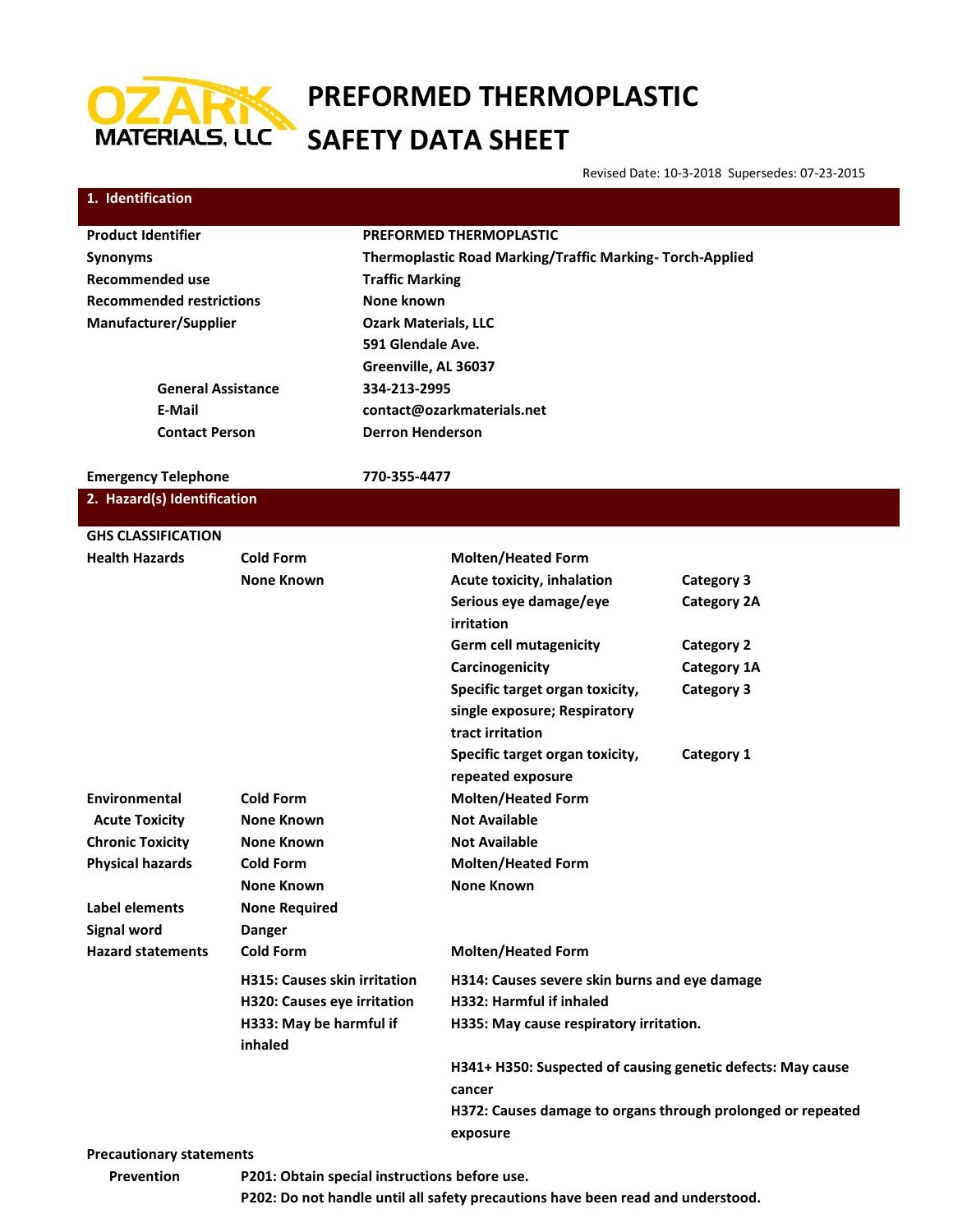

# **PREFORMED THERMOPLASTIC SAFETY DATA SHEET**

Revised Date: 10-3-2018 Supersedes: 07-23-2015

| 1. Identification                                  |                                       |                                                          |                                                             |                                                             |  |
|----------------------------------------------------|---------------------------------------|----------------------------------------------------------|-------------------------------------------------------------|-------------------------------------------------------------|--|
| <b>Product Identifier</b>                          |                                       | <b>PREFORMED THERMOPLASTIC</b>                           |                                                             |                                                             |  |
| <b>Synonyms</b>                                    |                                       | Thermoplastic Road Marking/Traffic Marking-Torch-Applied |                                                             |                                                             |  |
| <b>Recommended use</b>                             |                                       | <b>Traffic Marking</b>                                   |                                                             |                                                             |  |
| <b>Recommended restrictions</b>                    |                                       | None known                                               |                                                             |                                                             |  |
| Manufacturer/Supplier                              |                                       | <b>Ozark Materials, LLC</b>                              |                                                             |                                                             |  |
|                                                    |                                       | 591 Glendale Ave.                                        |                                                             |                                                             |  |
|                                                    |                                       | Greenville, AL 36037                                     |                                                             |                                                             |  |
| <b>General Assistance</b>                          |                                       | 334-213-2995                                             |                                                             |                                                             |  |
| E-Mail                                             |                                       |                                                          | contact@ozarkmaterials.net                                  |                                                             |  |
| <b>Contact Person</b>                              |                                       | <b>Derron Henderson</b>                                  |                                                             |                                                             |  |
| <b>Emergency Telephone</b>                         |                                       | 770-355-4477                                             |                                                             |                                                             |  |
| 2. Hazard(s) Identification                        |                                       |                                                          |                                                             |                                                             |  |
|                                                    |                                       |                                                          |                                                             |                                                             |  |
| <b>GHS CLASSIFICATION</b><br><b>Health Hazards</b> |                                       |                                                          |                                                             |                                                             |  |
|                                                    | <b>Cold Form</b><br><b>None Known</b> |                                                          | <b>Molten/Heated Form</b>                                   |                                                             |  |
|                                                    |                                       |                                                          | Acute toxicity, inhalation<br>Serious eye damage/eye        | <b>Category 3</b><br><b>Category 2A</b>                     |  |
|                                                    |                                       |                                                          | irritation                                                  |                                                             |  |
|                                                    |                                       |                                                          | <b>Germ cell mutagenicity</b>                               | <b>Category 2</b>                                           |  |
|                                                    |                                       |                                                          | Carcinogenicity                                             | Category 1A                                                 |  |
|                                                    |                                       |                                                          | Specific target organ toxicity,                             | <b>Category 3</b>                                           |  |
|                                                    |                                       |                                                          | single exposure; Respiratory                                |                                                             |  |
|                                                    |                                       |                                                          | tract irritation                                            |                                                             |  |
|                                                    |                                       |                                                          | Specific target organ toxicity,                             | Category 1                                                  |  |
|                                                    |                                       |                                                          | repeated exposure                                           |                                                             |  |
| Environmental                                      | <b>Cold Form</b>                      |                                                          | <b>Molten/Heated Form</b>                                   |                                                             |  |
| <b>Acute Toxicity</b>                              | <b>None Known</b>                     |                                                          | <b>Not Available</b>                                        |                                                             |  |
| <b>Chronic Toxicity</b>                            | <b>None Known</b>                     |                                                          | <b>Not Available</b>                                        |                                                             |  |
| <b>Physical hazards</b>                            | <b>Cold Form</b>                      |                                                          | <b>Molten/Heated Form</b>                                   |                                                             |  |
|                                                    | <b>None Known</b>                     |                                                          | <b>None Known</b>                                           |                                                             |  |
| Label elements                                     | <b>None Required</b>                  |                                                          |                                                             |                                                             |  |
| Signal word                                        | <b>Danger</b>                         |                                                          |                                                             |                                                             |  |
| <b>Hazard statements</b>                           | <b>Cold Form</b>                      |                                                          | <b>Molten/Heated Form</b>                                   |                                                             |  |
|                                                    | <b>H315: Causes skin irritation</b>   |                                                          | H314: Causes severe skin burns and eye damage               |                                                             |  |
|                                                    | H320: Causes eye irritation           |                                                          | <b>H332: Harmful if inhaled</b>                             |                                                             |  |
|                                                    | H333: May be harmful if<br>inhaled    |                                                          | H335: May cause respiratory irritation.                     |                                                             |  |
|                                                    |                                       |                                                          | H341+ H350: Suspected of causing genetic defects: May cause |                                                             |  |
|                                                    |                                       |                                                          | cancer                                                      |                                                             |  |
|                                                    |                                       |                                                          |                                                             | H372: Causes damage to organs through prolonged or repeated |  |
|                                                    |                                       |                                                          | exposure                                                    |                                                             |  |
| <b>Precautionary statements</b>                    |                                       |                                                          |                                                             |                                                             |  |

**Prevention P201: Obtain special instructions before use.**

**P202: Do not handle until all safety precautions have been read and understood.**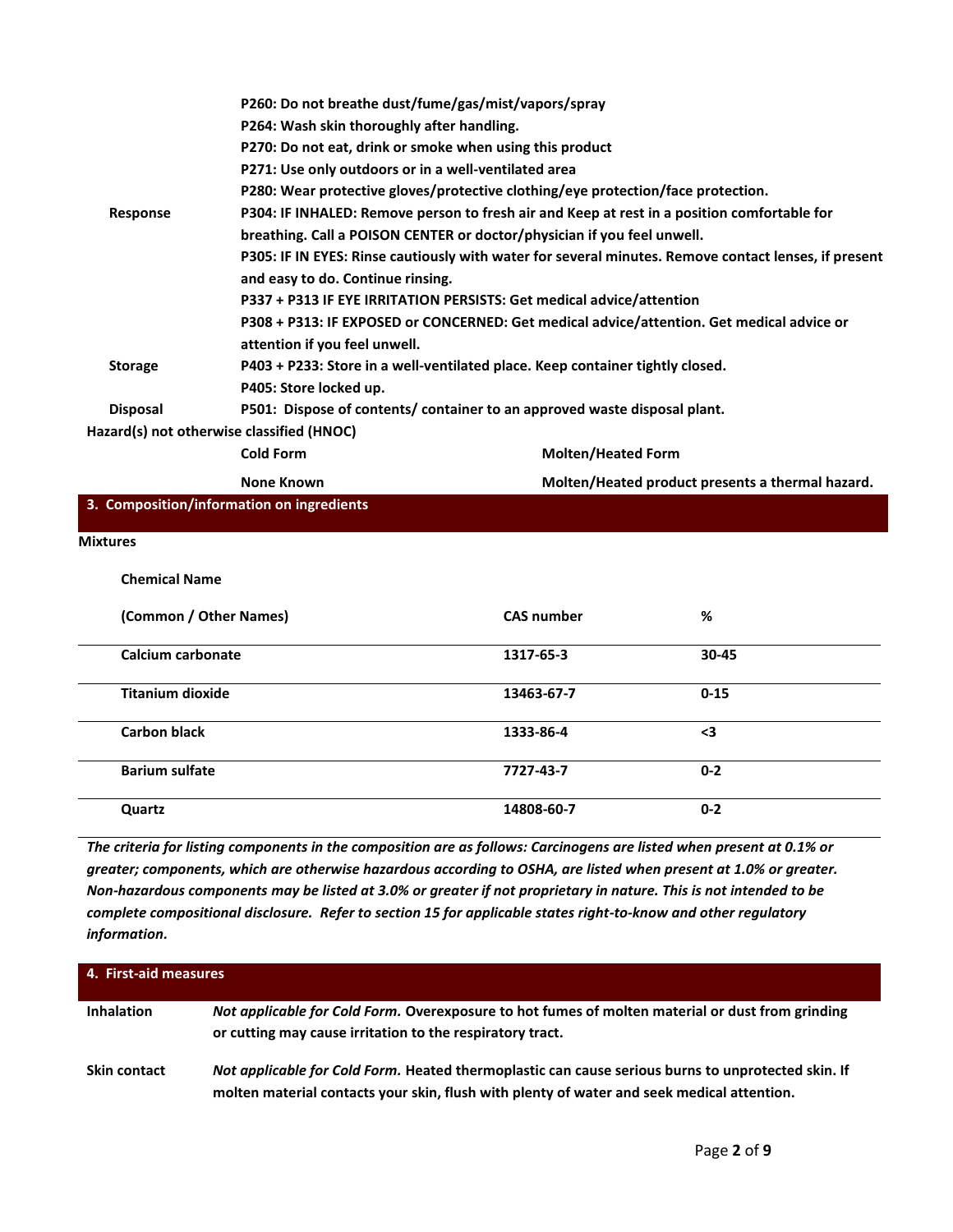|                          |                                            | P260: Do not breathe dust/fume/gas/mist/vapors/spray                                        |                                                                                                      |
|--------------------------|--------------------------------------------|---------------------------------------------------------------------------------------------|------------------------------------------------------------------------------------------------------|
|                          | P264: Wash skin thoroughly after handling. |                                                                                             |                                                                                                      |
|                          |                                            | P270: Do not eat, drink or smoke when using this product                                    |                                                                                                      |
|                          |                                            | P271: Use only outdoors or in a well-ventilated area                                        |                                                                                                      |
|                          |                                            | P280: Wear protective gloves/protective clothing/eye protection/face protection.            |                                                                                                      |
| Response                 |                                            | P304: IF INHALED: Remove person to fresh air and Keep at rest in a position comfortable for |                                                                                                      |
|                          |                                            | breathing. Call a POISON CENTER or doctor/physician if you feel unwell.                     |                                                                                                      |
|                          |                                            |                                                                                             | P305: IF IN EYES: Rinse cautiously with water for several minutes. Remove contact lenses, if present |
|                          | and easy to do. Continue rinsing.          |                                                                                             |                                                                                                      |
|                          |                                            | P337 + P313 IF EYE IRRITATION PERSISTS: Get medical advice/attention                        |                                                                                                      |
|                          |                                            | P308 + P313: IF EXPOSED or CONCERNED: Get medical advice/attention. Get medical advice or   |                                                                                                      |
|                          | attention if you feel unwell.              |                                                                                             |                                                                                                      |
| <b>Storage</b>           |                                            | P403 + P233: Store in a well-ventilated place. Keep container tightly closed.               |                                                                                                      |
|                          | P405: Store locked up.                     |                                                                                             |                                                                                                      |
| <b>Disposal</b>          |                                            | P501: Dispose of contents/ container to an approved waste disposal plant.                   |                                                                                                      |
|                          | Hazard(s) not otherwise classified (HNOC)  |                                                                                             |                                                                                                      |
|                          | <b>Cold Form</b>                           | <b>Molten/Heated Form</b>                                                                   |                                                                                                      |
|                          | <b>None Known</b>                          |                                                                                             | Molten/Heated product presents a thermal hazard.                                                     |
|                          | 3. Composition/information on ingredients  |                                                                                             |                                                                                                      |
| <b>Mixtures</b>          |                                            |                                                                                             |                                                                                                      |
|                          |                                            |                                                                                             |                                                                                                      |
| <b>Chemical Name</b>     |                                            |                                                                                             |                                                                                                      |
| (Common / Other Names)   |                                            | <b>CAS number</b>                                                                           | %                                                                                                    |
| <b>Calcium carbonate</b> |                                            | 1317-65-3                                                                                   | 30-45                                                                                                |
| <b>Titanium dioxide</b>  |                                            | 13463-67-7                                                                                  | $0 - 15$                                                                                             |
| <b>Carbon black</b>      |                                            | 1333-86-4                                                                                   | $3$                                                                                                  |

| <b>Barium sulfate</b> | 7727-43-7  | $0 - 2$ |  |
|-----------------------|------------|---------|--|
| Quartz                | 14808-60-7 | $0 - 2$ |  |

*The criteria for listing components in the composition are as follows: Carcinogens are listed when present at 0.1% or greater; components, which are otherwise hazardous according to OSHA, are listed when present at 1.0% or greater. Non-hazardous components may be listed at 3.0% or greater if not proprietary in nature. This is not intended to be complete compositional disclosure. Refer to section 15 for applicable states right-to-know and other regulatory information.*

| 4. First-aid measures |                                                                                                                                                                                                  |  |  |  |
|-----------------------|--------------------------------------------------------------------------------------------------------------------------------------------------------------------------------------------------|--|--|--|
| <b>Inhalation</b>     | Not applicable for Cold Form. Overexposure to hot fumes of molten material or dust from grinding<br>or cutting may cause irritation to the respiratory tract.                                    |  |  |  |
| <b>Skin contact</b>   | Not applicable for Cold Form. Heated thermoplastic can cause serious burns to unprotected skin. If<br>molten material contacts your skin, flush with plenty of water and seek medical attention. |  |  |  |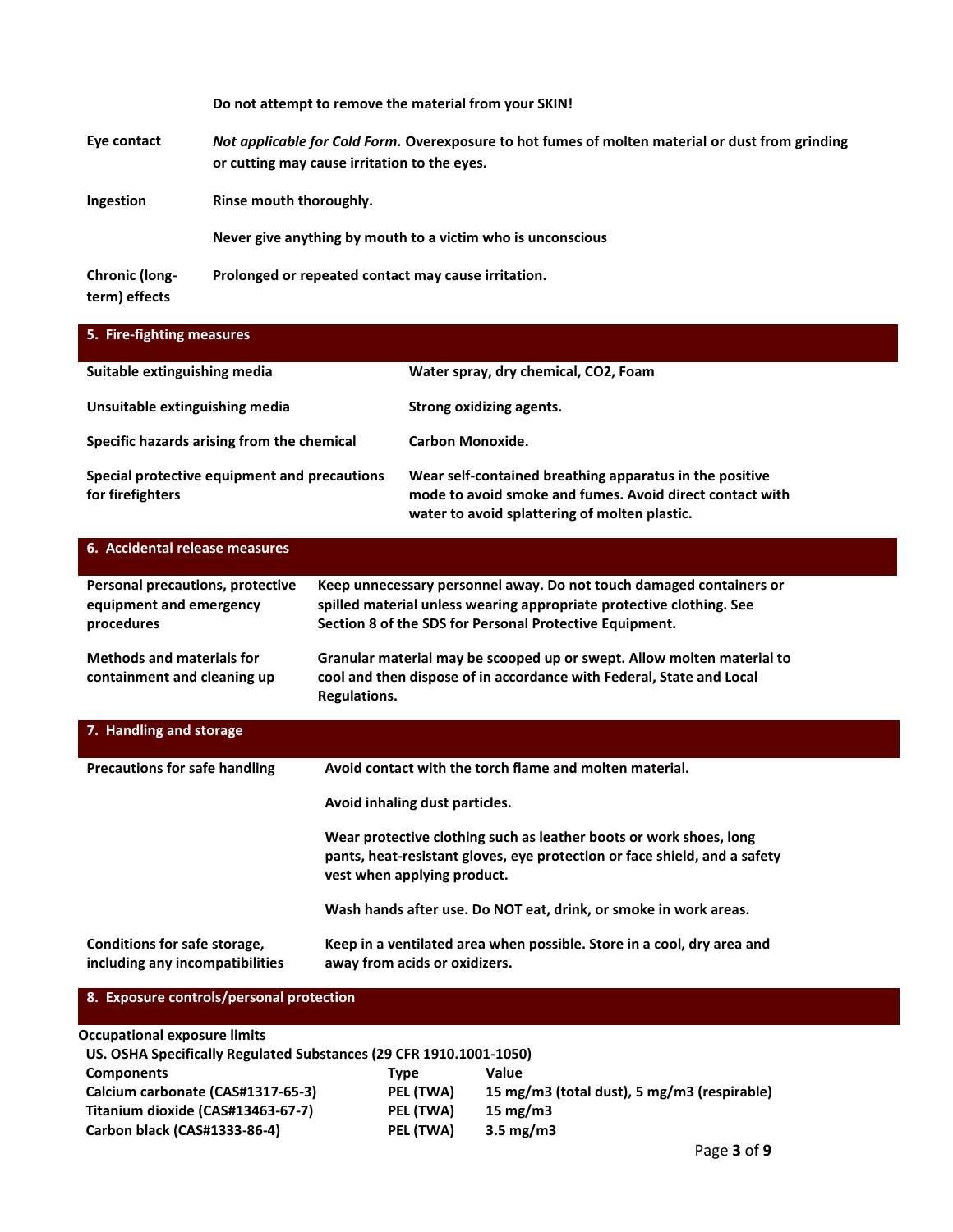|                                        | Do not attempt to remove the material from your SKIN!                                                                                            |
|----------------------------------------|--------------------------------------------------------------------------------------------------------------------------------------------------|
| Eye contact                            | Not applicable for Cold Form. Overexposure to hot fumes of molten material or dust from grinding<br>or cutting may cause irritation to the eyes. |
| Ingestion                              | Rinse mouth thoroughly.                                                                                                                          |
|                                        | Never give anything by mouth to a victim who is unconscious                                                                                      |
| <b>Chronic (long-</b><br>term) effects | Prolonged or repeated contact may cause irritation.                                                                                              |

| 5. Fire-fighting measures                                                                                 |              |                                                                                                                                                                                                        |
|-----------------------------------------------------------------------------------------------------------|--------------|--------------------------------------------------------------------------------------------------------------------------------------------------------------------------------------------------------|
| Suitable extinguishing media                                                                              |              | Water spray, dry chemical, CO2, Foam                                                                                                                                                                   |
| Unsuitable extinguishing media                                                                            |              | <b>Strong oxidizing agents.</b>                                                                                                                                                                        |
| Specific hazards arising from the chemical                                                                |              | <b>Carbon Monoxide.</b>                                                                                                                                                                                |
| Special protective equipment and precautions<br>for firefighters                                          |              | Wear self-contained breathing apparatus in the positive<br>mode to avoid smoke and fumes. Avoid direct contact with<br>water to avoid splattering of molten plastic.                                   |
| 6. Accidental release measures                                                                            |              |                                                                                                                                                                                                        |
| Personal precautions, protective<br>equipment and emergency<br>procedures                                 |              | Keep unnecessary personnel away. Do not touch damaged containers or<br>spilled material unless wearing appropriate protective clothing. See<br>Section 8 of the SDS for Personal Protective Equipment. |
| <b>Methods and materials for</b><br>containment and cleaning up                                           | Regulations. | Granular material may be scooped up or swept. Allow molten material to<br>cool and then dispose of in accordance with Federal, State and Local                                                         |
| 7. Handling and storage                                                                                   |              |                                                                                                                                                                                                        |
| <b>Precautions for safe handling</b>                                                                      |              | Avoid contact with the torch flame and molten material.                                                                                                                                                |
|                                                                                                           |              | Avoid inhaling dust particles.                                                                                                                                                                         |
|                                                                                                           |              | Wear protective clothing such as leather boots or work shoes, long<br>pants, heat-resistant gloves, eye protection or face shield, and a safety<br>vest when applying product.                         |
|                                                                                                           |              | Wash hands after use. Do NOT eat, drink, or smoke in work areas.                                                                                                                                       |
| Conditions for safe storage,<br>including any incompatibilities                                           |              | Keep in a ventilated area when possible. Store in a cool, dry area and<br>away from acids or oxidizers.                                                                                                |
| 8. Exposure controls/personal protection                                                                  |              |                                                                                                                                                                                                        |
| <b>Occupational exposure limits</b><br>US. OSHA Specifically Regulated Substances (29 CFR 1910.1001-1050) |              |                                                                                                                                                                                                        |

| Components                        | Tvpe      | Value                                       |
|-----------------------------------|-----------|---------------------------------------------|
| Calcium carbonate (CAS#1317-65-3) | PEL (TWA) | 15 mg/m3 (total dust), 5 mg/m3 (respirable) |
| Titanium dioxide (CAS#13463-67-7) | PEL (TWA) | 15 mg/m $3$                                 |
| Carbon black (CAS#1333-86-4)      | PEL (TWA) | $3.5 \text{ mg/m}$                          |
|                                   |           |                                             |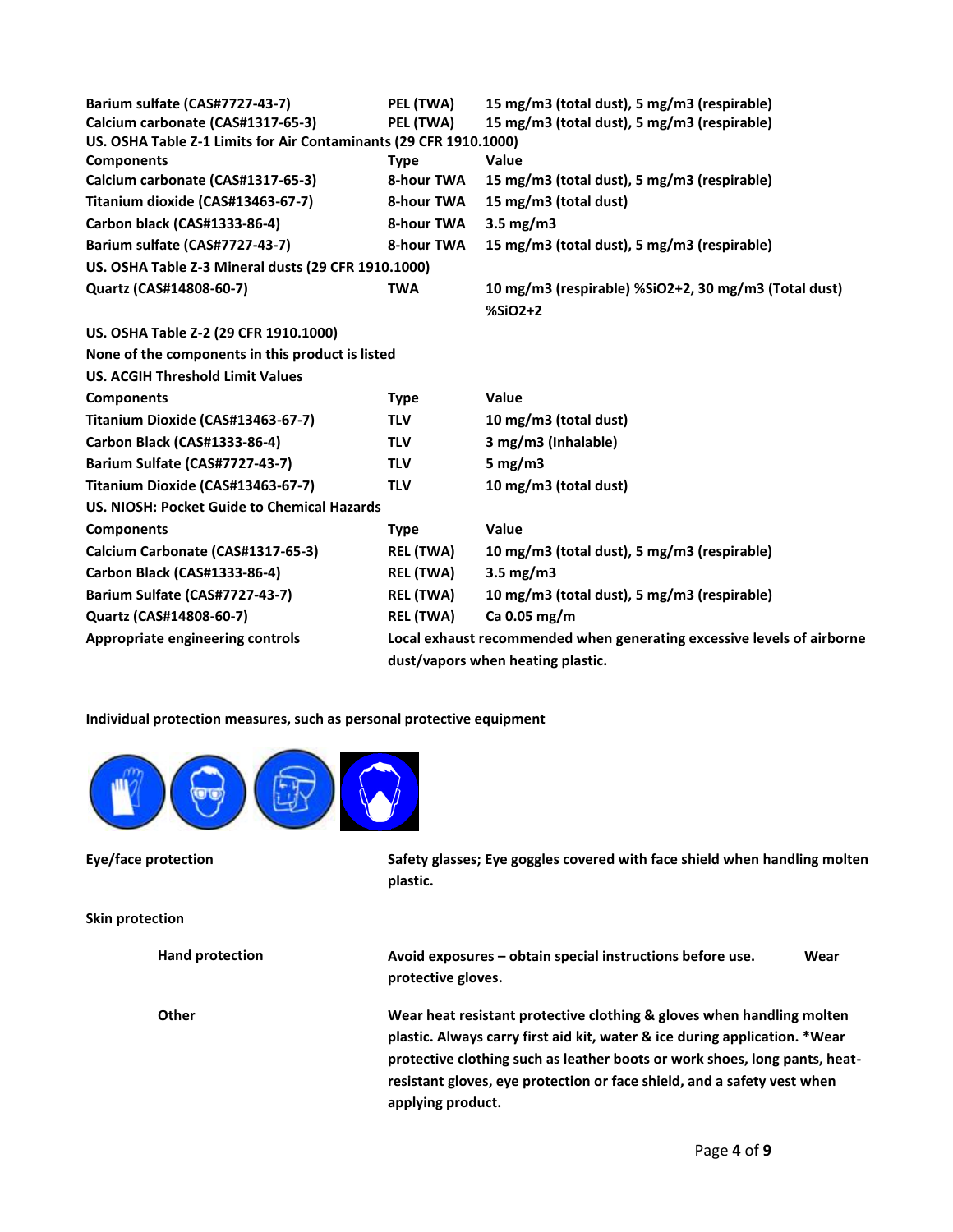| Barium sulfate (CAS#7727-43-7)                                                                         | PEL (TWA)                                                              | 15 mg/m3 (total dust), 5 mg/m3 (respirable)                       |  |  |
|--------------------------------------------------------------------------------------------------------|------------------------------------------------------------------------|-------------------------------------------------------------------|--|--|
| Calcium carbonate (CAS#1317-65-3)<br>US. OSHA Table Z-1 Limits for Air Contaminants (29 CFR 1910.1000) | PEL (TWA)                                                              | 15 mg/m3 (total dust), 5 mg/m3 (respirable)                       |  |  |
| <b>Components</b>                                                                                      | <b>Type</b>                                                            | <b>Value</b>                                                      |  |  |
| Calcium carbonate (CAS#1317-65-3)                                                                      | 8-hour TWA                                                             | 15 mg/m3 (total dust), 5 mg/m3 (respirable)                       |  |  |
| Titanium dioxide (CAS#13463-67-7)                                                                      | 8-hour TWA                                                             | 15 mg/m3 (total dust)                                             |  |  |
| Carbon black (CAS#1333-86-4)                                                                           | 8-hour TWA                                                             | $3.5 \text{ mg}/\text{m}$                                         |  |  |
| Barium sulfate (CAS#7727-43-7)                                                                         | 8-hour TWA                                                             | 15 mg/m3 (total dust), 5 mg/m3 (respirable)                       |  |  |
| US. OSHA Table Z-3 Mineral dusts (29 CFR 1910.1000)                                                    |                                                                        |                                                                   |  |  |
| Quartz (CAS#14808-60-7)                                                                                | <b>TWA</b>                                                             | 10 mg/m3 (respirable) %SiO2+2, 30 mg/m3 (Total dust)<br>$%SiO2+2$ |  |  |
| US. OSHA Table Z-2 (29 CFR 1910.1000)                                                                  |                                                                        |                                                                   |  |  |
| None of the components in this product is listed                                                       |                                                                        |                                                                   |  |  |
| <b>US. ACGIH Threshold Limit Values</b>                                                                |                                                                        |                                                                   |  |  |
| <b>Components</b>                                                                                      | <b>Type</b>                                                            | Value                                                             |  |  |
| Titanium Dioxide (CAS#13463-67-7)                                                                      | <b>TLV</b>                                                             | 10 mg/m3 (total dust)                                             |  |  |
| Carbon Black (CAS#1333-86-4)                                                                           | <b>TLV</b>                                                             | 3 mg/m3 (Inhalable)                                               |  |  |
| Barium Sulfate (CAS#7727-43-7)                                                                         | <b>TLV</b>                                                             | 5 mg/m $3$                                                        |  |  |
| Titanium Dioxide (CAS#13463-67-7)                                                                      | <b>TLV</b>                                                             | 10 mg/m3 (total dust)                                             |  |  |
| US. NIOSH: Pocket Guide to Chemical Hazards                                                            |                                                                        |                                                                   |  |  |
| <b>Components</b>                                                                                      | <b>Type</b>                                                            | Value                                                             |  |  |
| Calcium Carbonate (CAS#1317-65-3)                                                                      | <b>REL (TWA)</b>                                                       | 10 mg/m3 (total dust), 5 mg/m3 (respirable)                       |  |  |
| Carbon Black (CAS#1333-86-4)                                                                           | <b>REL (TWA)</b>                                                       | $3.5 \text{ mg}/\text{m}$ 3                                       |  |  |
| Barium Sulfate (CAS#7727-43-7)                                                                         | <b>REL (TWA)</b>                                                       | 10 mg/m3 (total dust), 5 mg/m3 (respirable)                       |  |  |
| Quartz (CAS#14808-60-7)                                                                                | <b>REL (TWA)</b>                                                       | Ca 0.05 mg/m                                                      |  |  |
| Appropriate engineering controls                                                                       | Local exhaust recommended when generating excessive levels of airborne |                                                                   |  |  |
|                                                                                                        |                                                                        | dust/vapors when heating plastic.                                 |  |  |

**Individual protection measures, such as personal protective equipment**



**Eye/face protection Safety glasses; Eye goggles covered with face shield when handling molten plastic.**

## **Skin protection**

| <b>Hand protection</b> | Avoid exposures – obtain special instructions before use.<br>protective gloves.                                                                                                                                                                                                                                                   | Wear |
|------------------------|-----------------------------------------------------------------------------------------------------------------------------------------------------------------------------------------------------------------------------------------------------------------------------------------------------------------------------------|------|
| Other                  | Wear heat resistant protective clothing & gloves when handling molten<br>plastic. Always carry first aid kit, water & ice during application. *Wear<br>protective clothing such as leather boots or work shoes, long pants, heat-<br>resistant gloves, eye protection or face shield, and a safety vest when<br>applying product. |      |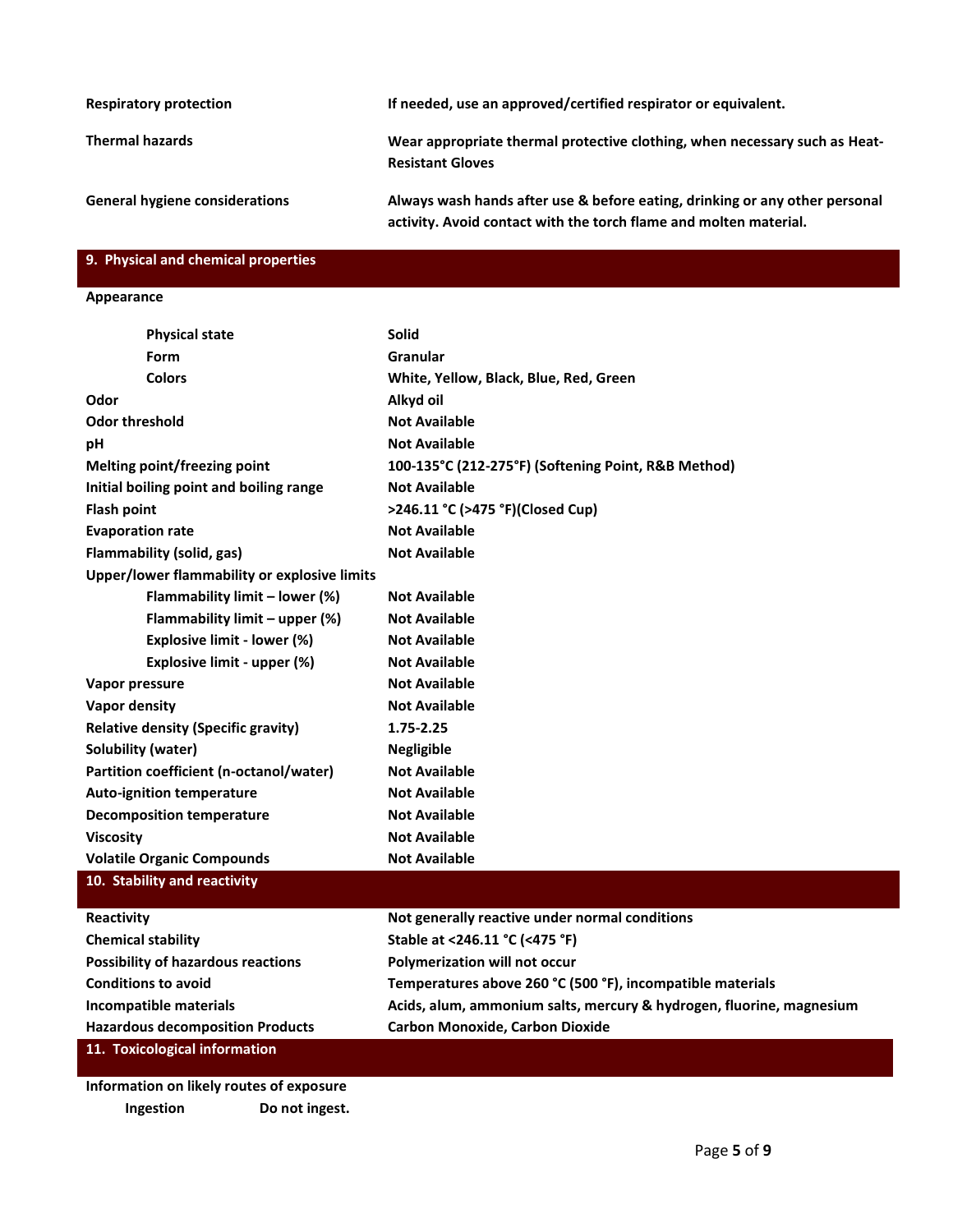| <b>Respiratory protection</b>         | If needed, use an approved/certified respirator or equivalent.                                                                                   |
|---------------------------------------|--------------------------------------------------------------------------------------------------------------------------------------------------|
| <b>Thermal hazards</b>                | Wear appropriate thermal protective clothing, when necessary such as Heat-<br><b>Resistant Gloves</b>                                            |
| <b>General hygiene considerations</b> | Always wash hands after use & before eating, drinking or any other personal<br>activity. Avoid contact with the torch flame and molten material. |

## **9. Physical and chemical properties**

#### **Appearance**

| <b>Physical state</b>                        | <b>Solid</b>                                        |
|----------------------------------------------|-----------------------------------------------------|
| Form                                         | Granular                                            |
| <b>Colors</b>                                | White, Yellow, Black, Blue, Red, Green              |
| Odor                                         | Alkyd oil                                           |
| <b>Odor threshold</b>                        | <b>Not Available</b>                                |
| pH                                           | <b>Not Available</b>                                |
| Melting point/freezing point                 | 100-135°C (212-275°F) (Softening Point, R&B Method) |
| Initial boiling point and boiling range      | <b>Not Available</b>                                |
| <b>Flash point</b>                           | >246.11 °C (>475 °F)(Closed Cup)                    |
| <b>Evaporation rate</b>                      | <b>Not Available</b>                                |
| <b>Flammability (solid, gas)</b>             | <b>Not Available</b>                                |
| Upper/lower flammability or explosive limits |                                                     |
| Flammability limit - lower (%)               | <b>Not Available</b>                                |
| Flammability limit - upper (%)               | <b>Not Available</b>                                |
| Explosive limit - lower (%)                  | <b>Not Available</b>                                |
| Explosive limit - upper (%)                  | <b>Not Available</b>                                |
| Vapor pressure                               | <b>Not Available</b>                                |
| Vapor density                                | <b>Not Available</b>                                |
| <b>Relative density (Specific gravity)</b>   | 1.75-2.25                                           |
| Solubility (water)                           | <b>Negligible</b>                                   |
| Partition coefficient (n-octanol/water)      | <b>Not Available</b>                                |
| <b>Auto-ignition temperature</b>             | <b>Not Available</b>                                |
| <b>Decomposition temperature</b>             | <b>Not Available</b>                                |
| <b>Viscosity</b>                             | <b>Not Available</b>                                |
| <b>Volatile Organic Compounds</b>            | <b>Not Available</b>                                |
| 10. Stability and reactivity                 |                                                     |
| Reactivity                                   | Not generally reactive under normal conditions      |
| <b>Chemical stability</b>                    | Stable at <246.11 °C (<475 °F)                      |
| <b>Possibility of hazardous reactions</b>    | <b>Polymerization will not occur</b>                |

| Temperatures above 260 °C (500 °F), incompatible materials |  |  |
|------------------------------------------------------------|--|--|
|                                                            |  |  |

**Incompatible materials Acids, alum, ammonium salts, mercury & hydrogen, fluorine, magnesium Hazardous decomposition Products Carbon Monoxide, Carbon Dioxide**

**11. Toxicological information**

**Conditions to avoid** 

**Information on likely routes of exposure Ingestion Do not ingest.**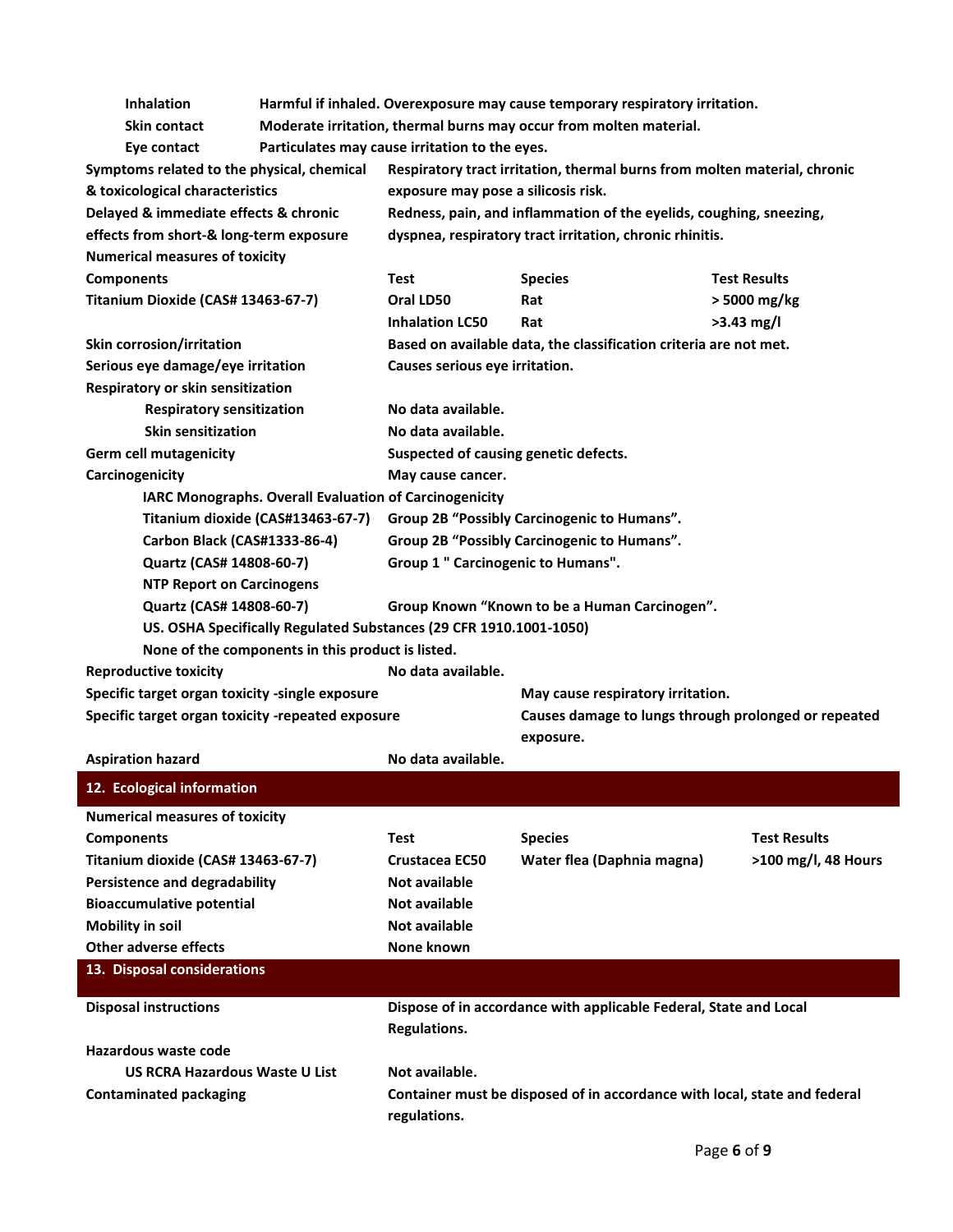| Inhalation                                        |                                                        |                                                                    | Harmful if inhaled. Overexposure may cause temporary respiratory irritation. |                     |
|---------------------------------------------------|--------------------------------------------------------|--------------------------------------------------------------------|------------------------------------------------------------------------------|---------------------|
| <b>Skin contact</b>                               |                                                        |                                                                    | Moderate irritation, thermal burns may occur from molten material.           |                     |
| Eye contact                                       |                                                        | Particulates may cause irritation to the eyes.                     |                                                                              |                     |
| Symptoms related to the physical, chemical        |                                                        |                                                                    | Respiratory tract irritation, thermal burns from molten material, chronic    |                     |
| & toxicological characteristics                   |                                                        | exposure may pose a silicosis risk.                                |                                                                              |                     |
| Delayed & immediate effects & chronic             |                                                        |                                                                    | Redness, pain, and inflammation of the eyelids, coughing, sneezing,          |                     |
| effects from short-& long-term exposure           |                                                        |                                                                    | dyspnea, respiratory tract irritation, chronic rhinitis.                     |                     |
| <b>Numerical measures of toxicity</b>             |                                                        |                                                                    |                                                                              |                     |
| <b>Components</b>                                 |                                                        | Test                                                               | <b>Species</b>                                                               | <b>Test Results</b> |
| Titanium Dioxide (CAS# 13463-67-7)                |                                                        | Oral LD50                                                          | Rat                                                                          | $>$ 5000 mg/kg      |
|                                                   |                                                        | <b>Inhalation LC50</b>                                             | Rat                                                                          | $>3.43$ mg/l        |
| Skin corrosion/irritation                         |                                                        |                                                                    | Based on available data, the classification criteria are not met.            |                     |
| Serious eye damage/eye irritation                 |                                                        | Causes serious eye irritation.                                     |                                                                              |                     |
| Respiratory or skin sensitization                 |                                                        |                                                                    |                                                                              |                     |
| <b>Respiratory sensitization</b>                  |                                                        | No data available.                                                 |                                                                              |                     |
| <b>Skin sensitization</b>                         |                                                        | No data available.                                                 |                                                                              |                     |
| <b>Germ cell mutagenicity</b>                     |                                                        | Suspected of causing genetic defects.                              |                                                                              |                     |
| Carcinogenicity                                   |                                                        | May cause cancer.                                                  |                                                                              |                     |
|                                                   | IARC Monographs. Overall Evaluation of Carcinogenicity |                                                                    |                                                                              |                     |
|                                                   | Titanium dioxide (CAS#13463-67-7)                      |                                                                    | Group 2B "Possibly Carcinogenic to Humans".                                  |                     |
| Carbon Black (CAS#1333-86-4)                      |                                                        |                                                                    | Group 2B "Possibly Carcinogenic to Humans".                                  |                     |
| Quartz (CAS# 14808-60-7)                          |                                                        | Group 1 " Carcinogenic to Humans".                                 |                                                                              |                     |
| <b>NTP Report on Carcinogens</b>                  |                                                        |                                                                    |                                                                              |                     |
| Quartz (CAS# 14808-60-7)                          |                                                        |                                                                    | Group Known "Known to be a Human Carcinogen".                                |                     |
|                                                   |                                                        |                                                                    |                                                                              |                     |
|                                                   |                                                        | US. OSHA Specifically Regulated Substances (29 CFR 1910.1001-1050) |                                                                              |                     |
|                                                   | None of the components in this product is listed.      |                                                                    |                                                                              |                     |
| <b>Reproductive toxicity</b>                      |                                                        | No data available.                                                 |                                                                              |                     |
| Specific target organ toxicity -single exposure   |                                                        |                                                                    | May cause respiratory irritation.                                            |                     |
| Specific target organ toxicity -repeated exposure |                                                        |                                                                    | Causes damage to lungs through prolonged or repeated                         |                     |
|                                                   |                                                        | No data available.                                                 | exposure.                                                                    |                     |
| <b>Aspiration hazard</b>                          |                                                        |                                                                    |                                                                              |                     |
| 12. Ecological information                        |                                                        |                                                                    |                                                                              |                     |
| <b>Numerical measures of toxicity</b>             |                                                        |                                                                    |                                                                              |                     |
| <b>Components</b>                                 |                                                        | Test                                                               | <b>Species</b>                                                               | <b>Test Results</b> |
| Titanium dioxide (CAS# 13463-67-7)                |                                                        | Crustacea EC50                                                     | Water flea (Daphnia magna)                                                   | >100 mg/l, 48 Hours |
| <b>Persistence and degradability</b>              |                                                        | <b>Not available</b>                                               |                                                                              |                     |
| <b>Bioaccumulative potential</b>                  |                                                        | <b>Not available</b>                                               |                                                                              |                     |
| <b>Mobility in soil</b>                           |                                                        | Not available                                                      |                                                                              |                     |
| <b>Other adverse effects</b>                      |                                                        | None known                                                         |                                                                              |                     |
| 13. Disposal considerations                       |                                                        |                                                                    |                                                                              |                     |
|                                                   |                                                        |                                                                    |                                                                              |                     |
| <b>Disposal instructions</b>                      |                                                        |                                                                    | Dispose of in accordance with applicable Federal, State and Local            |                     |
|                                                   |                                                        | <b>Regulations.</b>                                                |                                                                              |                     |
| Hazardous waste code                              |                                                        |                                                                    |                                                                              |                     |
| <b>US RCRA Hazardous Waste U List</b>             |                                                        | Not available.                                                     |                                                                              |                     |
| <b>Contaminated packaging</b>                     |                                                        | regulations.                                                       | Container must be disposed of in accordance with local, state and federal    |                     |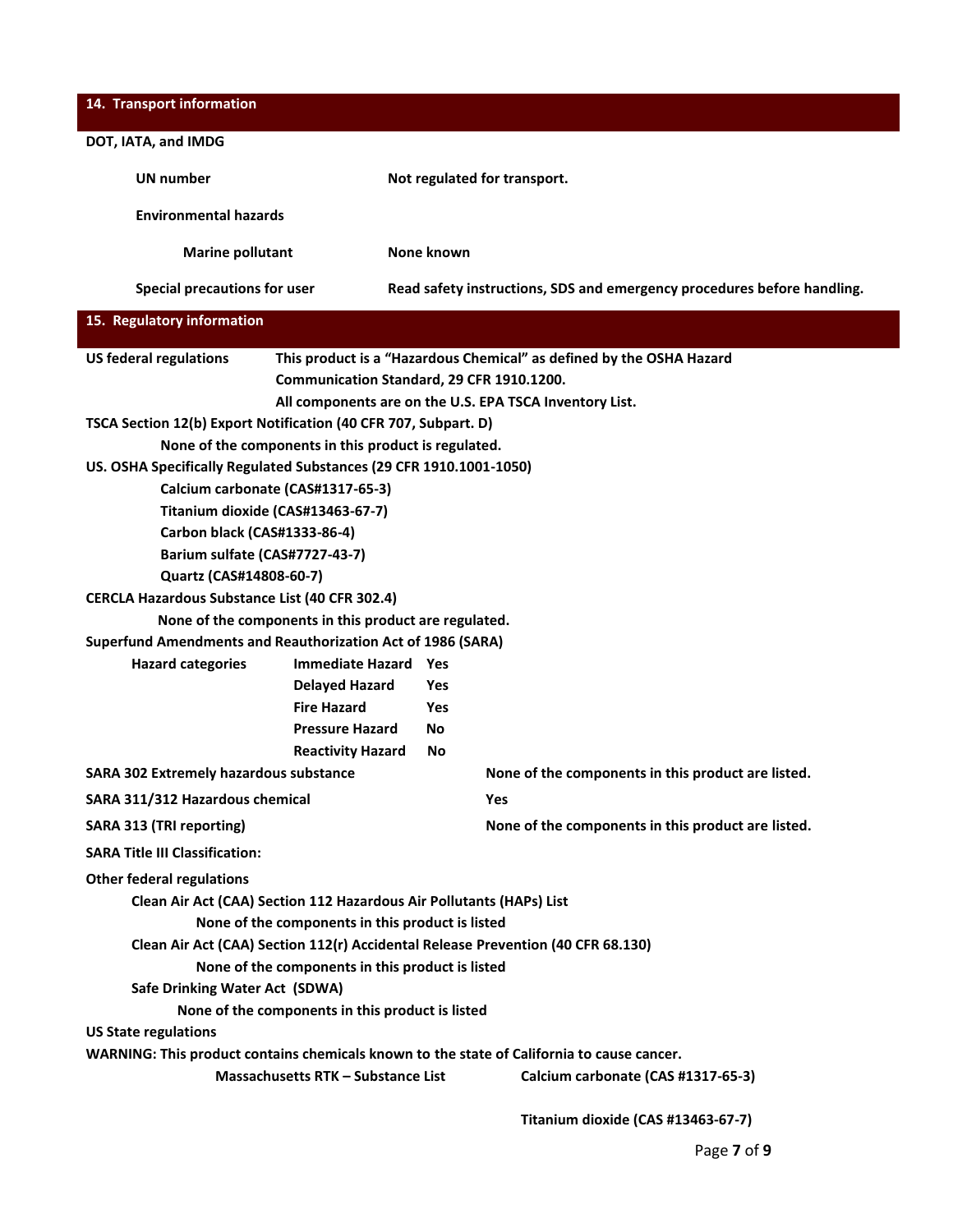| 14. Transport information                                                        |                                                       |                                                           |                                                                                            |
|----------------------------------------------------------------------------------|-------------------------------------------------------|-----------------------------------------------------------|--------------------------------------------------------------------------------------------|
| DOT, IATA, and IMDG                                                              |                                                       |                                                           |                                                                                            |
| <b>UN number</b>                                                                 |                                                       |                                                           | Not regulated for transport.                                                               |
| <b>Environmental hazards</b>                                                     |                                                       |                                                           |                                                                                            |
| <b>Marine pollutant</b>                                                          |                                                       | None known                                                |                                                                                            |
| <b>Special precautions for user</b>                                              |                                                       |                                                           | Read safety instructions, SDS and emergency procedures before handling.                    |
| 15. Regulatory information                                                       |                                                       |                                                           |                                                                                            |
| <b>US federal regulations</b>                                                    |                                                       |                                                           | This product is a "Hazardous Chemical" as defined by the OSHA Hazard                       |
|                                                                                  | Communication Standard, 29 CFR 1910.1200.             |                                                           |                                                                                            |
|                                                                                  |                                                       |                                                           | All components are on the U.S. EPA TSCA Inventory List.                                    |
| TSCA Section 12(b) Export Notification (40 CFR 707, Subpart. D)                  |                                                       |                                                           |                                                                                            |
|                                                                                  | None of the components in this product is regulated.  |                                                           |                                                                                            |
| US. OSHA Specifically Regulated Substances (29 CFR 1910.1001-1050)               |                                                       |                                                           |                                                                                            |
| Calcium carbonate (CAS#1317-65-3)                                                |                                                       |                                                           |                                                                                            |
| Titanium dioxide (CAS#13463-67-7)                                                |                                                       |                                                           |                                                                                            |
| Carbon black (CAS#1333-86-4)                                                     |                                                       |                                                           |                                                                                            |
| Barium sulfate (CAS#7727-43-7)                                                   |                                                       |                                                           |                                                                                            |
| Quartz (CAS#14808-60-7)                                                          |                                                       |                                                           |                                                                                            |
| <b>CERCLA Hazardous Substance List (40 CFR 302.4)</b>                            |                                                       |                                                           |                                                                                            |
|                                                                                  | None of the components in this product are regulated. |                                                           |                                                                                            |
| <b>Superfund Amendments and Reauthorization Act of 1986 (SARA)</b>               |                                                       |                                                           |                                                                                            |
| <b>Hazard categories</b>                                                         | <b>Immediate Hazard Yes</b>                           |                                                           |                                                                                            |
|                                                                                  |                                                       | <b>Yes</b>                                                |                                                                                            |
|                                                                                  | <b>Delayed Hazard</b><br><b>Fire Hazard</b>           |                                                           |                                                                                            |
|                                                                                  |                                                       | Yes                                                       |                                                                                            |
|                                                                                  | <b>Pressure Hazard</b>                                | No                                                        |                                                                                            |
|                                                                                  | <b>Reactivity Hazard</b>                              | No                                                        |                                                                                            |
| <b>SARA 302 Extremely hazardous substance</b><br>SARA 311/312 Hazardous chemical |                                                       | None of the components in this product are listed.<br>Yes |                                                                                            |
|                                                                                  |                                                       |                                                           |                                                                                            |
| SARA 313 (TRI reporting)<br><b>SARA Title III Classification:</b>                |                                                       |                                                           | None of the components in this product are listed.                                         |
| <b>Other federal regulations</b>                                                 |                                                       |                                                           |                                                                                            |
| Clean Air Act (CAA) Section 112 Hazardous Air Pollutants (HAPs) List             |                                                       |                                                           |                                                                                            |
|                                                                                  |                                                       |                                                           |                                                                                            |
|                                                                                  | None of the components in this product is listed      |                                                           |                                                                                            |
|                                                                                  |                                                       |                                                           | Clean Air Act (CAA) Section 112(r) Accidental Release Prevention (40 CFR 68.130)           |
|                                                                                  | None of the components in this product is listed      |                                                           |                                                                                            |
| Safe Drinking Water Act (SDWA)                                                   |                                                       |                                                           |                                                                                            |
|                                                                                  | None of the components in this product is listed      |                                                           |                                                                                            |
| <b>US State regulations</b>                                                      |                                                       |                                                           |                                                                                            |
|                                                                                  |                                                       |                                                           | WARNING: This product contains chemicals known to the state of California to cause cancer. |
|                                                                                  | Massachusetts RTK - Substance List                    |                                                           | Calcium carbonate (CAS #1317-65-3)                                                         |
|                                                                                  |                                                       |                                                           | Titanium dioxide (CAS #13463-67-7)                                                         |

Page **7** of **9**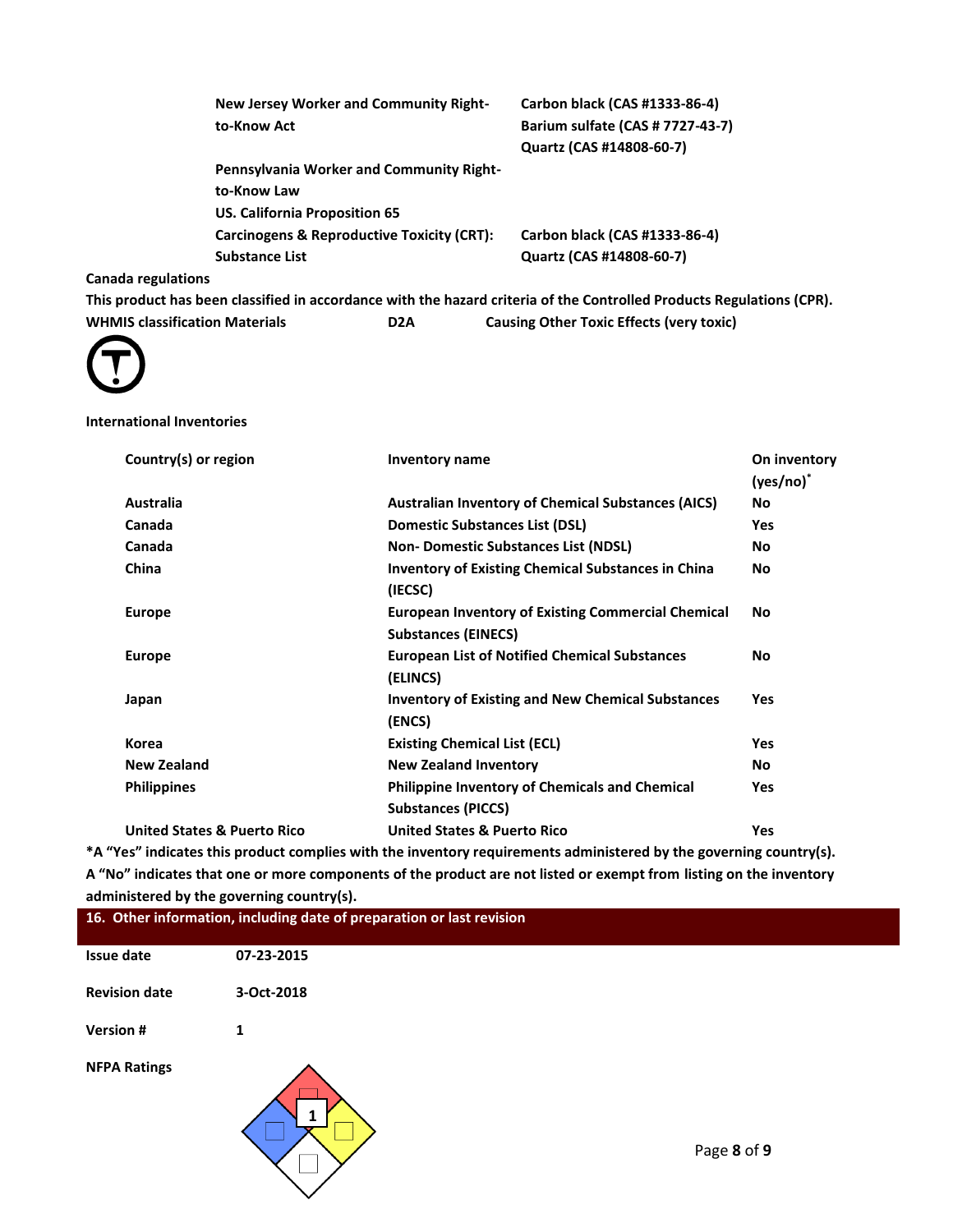|                    | New Jersey Worker and Community Right-<br>to-Know Act                       | Carbon black (CAS #1333-86-4)<br>Barium sulfate (CAS # 7727-43-7)<br>Quartz (CAS #14808-60-7) |
|--------------------|-----------------------------------------------------------------------------|-----------------------------------------------------------------------------------------------|
|                    | <b>Pennsylvania Worker and Community Right-</b><br>to-Know Law              |                                                                                               |
|                    | US. California Proposition 65<br>Carcinogens & Reproductive Toxicity (CRT): | Carbon black (CAS #1333-86-4)                                                                 |
|                    | Substance List                                                              | Quartz (CAS #14808-60-7)                                                                      |
| Canada regulations |                                                                             |                                                                                               |

**This product has been classified in accordance with the hazard criteria of the Controlled Products Regulations (CPR). WHMIS classification Materials D2A Causing Other Toxic Effects (very toxic)**



### **International Inventories**

| Country(s) or region                   | <b>Inventory name</b>                                                                   | On inventory<br>$(yes/no)^*$ |
|----------------------------------------|-----------------------------------------------------------------------------------------|------------------------------|
| Australia                              | <b>Australian Inventory of Chemical Substances (AICS)</b>                               | No                           |
| Canada                                 | <b>Domestic Substances List (DSL)</b>                                                   | Yes                          |
| Canada                                 | <b>Non-Domestic Substances List (NDSL)</b>                                              | No                           |
| China                                  | <b>Inventory of Existing Chemical Substances in China</b><br>(IECSC)                    | No                           |
| <b>Europe</b>                          | <b>European Inventory of Existing Commercial Chemical</b><br><b>Substances (EINECS)</b> | No                           |
| <b>Europe</b>                          | <b>European List of Notified Chemical Substances</b><br>(ELINCS)                        | No                           |
| Japan                                  | <b>Inventory of Existing and New Chemical Substances</b><br>(ENCS)                      | <b>Yes</b>                   |
| Korea                                  | <b>Existing Chemical List (ECL)</b>                                                     | Yes                          |
| New Zealand                            | <b>New Zealand Inventory</b>                                                            | No                           |
| <b>Philippines</b>                     | <b>Philippine Inventory of Chemicals and Chemical</b><br><b>Substances (PICCS)</b>      | Yes                          |
| <b>United States &amp; Puerto Rico</b> | <b>United States &amp; Puerto Rico</b>                                                  | <b>Yes</b>                   |

**\*A "Yes" indicates this product complies with the inventory requirements administered by the governing country(s). A "No" indicates that one or more components of the product are not listed or exempt from listing on the inventory administered by the governing country(s).**

|                      | 16. Other information, including date of preparation or last revision |             |
|----------------------|-----------------------------------------------------------------------|-------------|
| <b>Issue date</b>    | 07-23-2015                                                            |             |
| <b>Revision date</b> | 3-Oct-2018                                                            |             |
| <b>Version#</b>      | 1                                                                     |             |
| <b>NFPA Ratings</b>  |                                                                       | Page 8 of 9 |